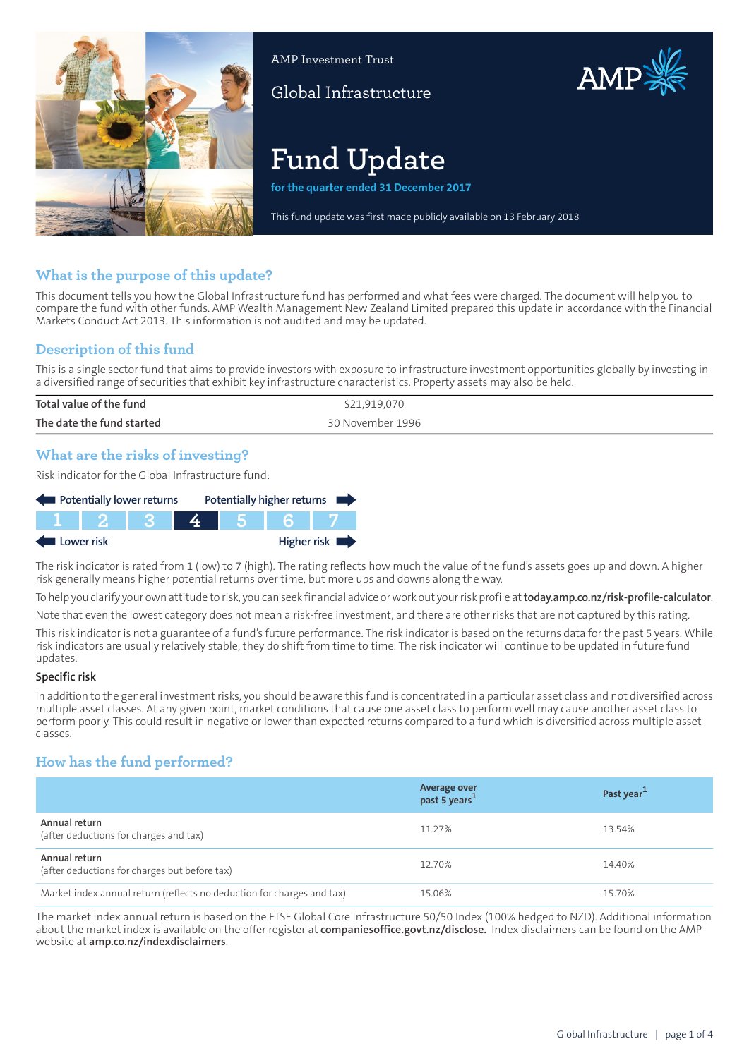

AMP Investment Trust

Global Infrastructure

# **Fund Update**

**for the quarter ended 31 December 2017**

This fund update was first made publicly available on 13 February 2018

AMP

## **What is the purpose of this update?**

This document tells you how the Global Infrastructure fund has performed and what fees were charged. The document will help you to compare the fund with other funds. AMP Wealth Management New Zealand Limited prepared this update in accordance with the Financial Markets Conduct Act 2013. This information is not audited and may be updated.

## **Description of this fund**

This is a single sector fund that aims to provide investors with exposure to infrastructure investment opportunities globally by investing in a diversified range of securities that exhibit key infrastructure characteristics. Property assets may also be held.

| Total value of the fund   | \$21,919,070     |
|---------------------------|------------------|
| The date the fund started | 30 November 1996 |
|                           |                  |

## **What are the risks of investing?**

Risk indicator for the Global Infrastructure fund:

| Potentially lower returns |  |  |  |  | Potentially higher returns |
|---------------------------|--|--|--|--|----------------------------|
|                           |  |  |  |  |                            |
| Lower risk                |  |  |  |  | Higher risk                |

The risk indicator is rated from 1 (low) to 7 (high). The rating reflects how much the value of the fund's assets goes up and down. A higher risk generally means higher potential returns over time, but more ups and downs along the way.

To help you clarify your own attitude to risk, you can seek financial advice orwork out yourrisk profile at**[today.amp.co.nz/risk-profile-calculator](http://today.amp.co.nz/risk-profile-calculator)**.

Note that even the lowest category does not mean a risk-free investment, and there are other risks that are not captured by this rating.

This risk indicator is not a guarantee of a fund's future performance. The risk indicator is based on the returns data for the past 5 years. While risk indicators are usually relatively stable, they do shift from time to time. The risk indicator will continue to be updated in future fund updates.

#### **Specific risk**

In addition to the general investmentrisks, you should be aware this fund is concentrated in a particular asset class and not diversified across multiple asset classes. At any given point, market conditions that cause one asset class to perform well may cause another asset class to perform poorly. This could result in negative or lower than expected returns compared to a fund which is diversified across multiple asset classes.

# **How has the fund performed?**

|                                                                        | Average over<br>past 5 years <sup>1</sup> | Past year <sup>1</sup> |
|------------------------------------------------------------------------|-------------------------------------------|------------------------|
| Annual return<br>(after deductions for charges and tax)                | 11.27%                                    | 13.54%                 |
| Annual return<br>(after deductions for charges but before tax)         | 12.70%                                    | 14.40%                 |
| Market index annual return (reflects no deduction for charges and tax) | 15.06%                                    | 15.70%                 |

The market index annual return is based on the FTSE Global Core Infrastructure 50/50 Index (100% hedged to NZD). Additional information about the market index is available on the offer register at **[companiesoffice.govt.nz/disclose.](http://companiesoffice.govt.nz/disclose)** Index disclaimers can be found on the AMP website at **[amp.co.nz/indexdisclaimers](http://amp.co.nz/indexdisclaimers)**.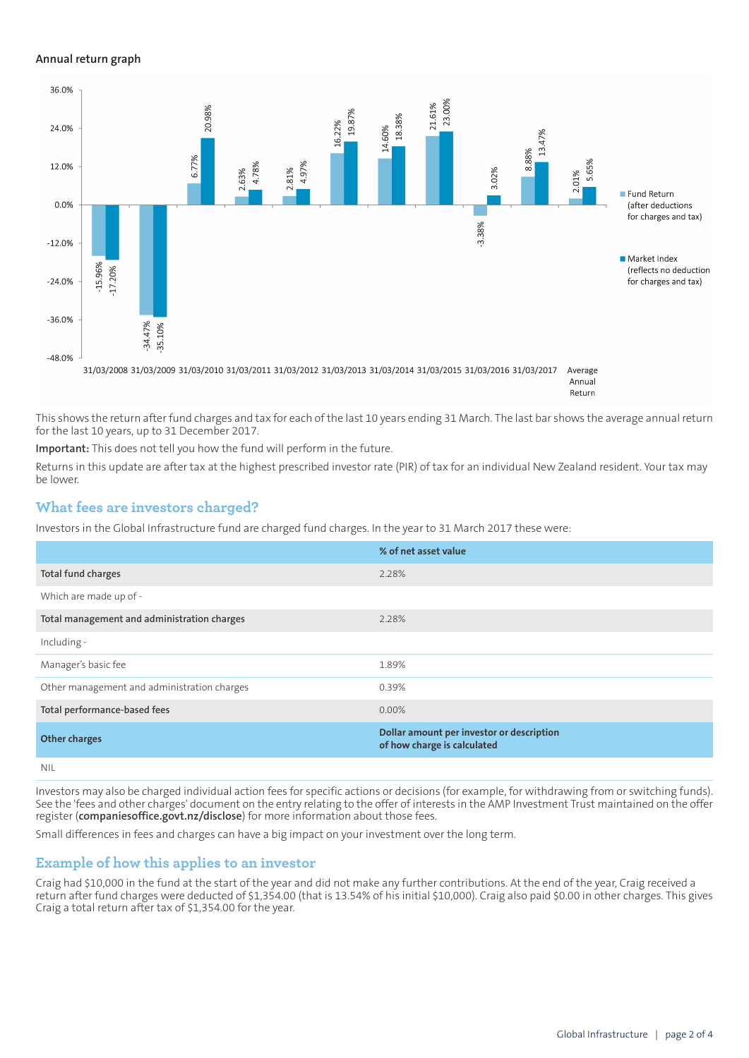#### **Annual return graph**



This shows the return after fund charges and tax for each of the last 10 years ending 31 March. The last bar shows the average annual return for the last 10 years, up to 31 December 2017.

**Important:** This does not tell you how the fund will perform in the future.

Returns in this update are after tax at the highest prescribed investor rate (PIR) of tax for an individual New Zealand resident. Your tax may be lower.

#### **What fees are investors charged?**

Investors in the Global Infrastructure fund are charged fund charges. In the year to 31 March 2017 these were:

|                                             | % of net asset value                                                     |
|---------------------------------------------|--------------------------------------------------------------------------|
| Total fund charges                          | 2.28%                                                                    |
| Which are made up of -                      |                                                                          |
| Total management and administration charges | 2.28%                                                                    |
| Including -                                 |                                                                          |
| Manager's basic fee                         | 1.89%                                                                    |
| Other management and administration charges | 0.39%                                                                    |
| Total performance-based fees                | $0.00\%$                                                                 |
| <b>Other charges</b>                        | Dollar amount per investor or description<br>of how charge is calculated |
| .                                           |                                                                          |

NIL

Investors may also be charged individual action fees for specific actions or decisions (for example, for withdrawing from or switching funds). See the 'fees and other charges' document on the entry relating to the offer of interests in the AMP Investment Trust maintained on the offer register (**[companiesoffice.govt.nz/disclose](http://companiesoffice.govt.nz/disclose)**) for more information about those fees.

Small differences in fees and charges can have a big impact on your investment over the long term.

### **Example of how this applies to an investor**

Craig had \$10,000 in the fund at the start of the year and did not make any further contributions. At the end of the year, Craig received a return after fund charges were deducted of \$1,354.00 (that is 13.54% of his initial \$10,000). Craig also paid \$0.00 in other charges. This gives Craig a total return after tax of \$1,354.00 for the year.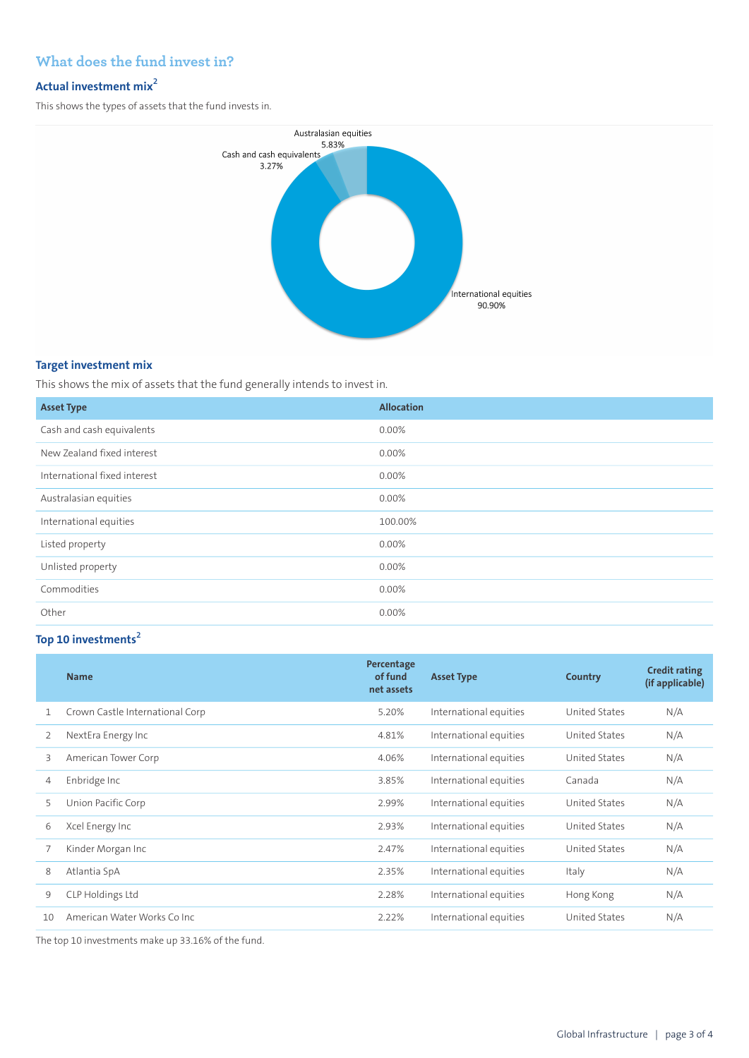# **What does the fund invest in?**

## **Actual investment mix<sup>2</sup>**

This shows the types of assets that the fund invests in.



#### **Target investment mix**

This shows the mix of assets that the fund generally intends to invest in.

| <b>Asset Type</b>            | <b>Allocation</b> |
|------------------------------|-------------------|
| Cash and cash equivalents    | $0.00\%$          |
| New Zealand fixed interest   | $0.00\%$          |
| International fixed interest | 0.00%             |
| Australasian equities        | $0.00\%$          |
| International equities       | 100.00%           |
| Listed property              | 0.00%             |
| Unlisted property            | 0.00%             |
| Commodities                  | 0.00%             |
| Other                        | 0.00%             |

# **Top 10 investments<sup>2</sup>**

|    | <b>Name</b>                     | Percentage<br>of fund<br>net assets | <b>Asset Type</b>      | <b>Country</b>       | <b>Credit rating</b><br>(if applicable) |
|----|---------------------------------|-------------------------------------|------------------------|----------------------|-----------------------------------------|
| 1  | Crown Castle International Corp | 5.20%                               | International equities | <b>United States</b> | N/A                                     |
| 2  | NextEra Energy Inc              | 4.81%                               | International equities | United States        | N/A                                     |
| 3  | American Tower Corp             | 4.06%                               | International equities | United States        | N/A                                     |
| 4  | Enbridge Inc                    | 3.85%                               | International equities | Canada               | N/A                                     |
| 5  | Union Pacific Corp              | 2.99%                               | International equities | United States        | N/A                                     |
| 6  | Xcel Energy Inc                 | 2.93%                               | International equities | United States        | N/A                                     |
| 7  | Kinder Morgan Inc               | 2.47%                               | International equities | United States        | N/A                                     |
| 8  | Atlantia SpA                    | 2.35%                               | International equities | Italy                | N/A                                     |
| 9  | CLP Holdings Ltd                | 2.28%                               | International equities | Hong Kong            | N/A                                     |
| 10 | American Water Works Co Inc.    | 2.22%                               | International equities | United States        | N/A                                     |

The top 10 investments make up 33.16% of the fund.